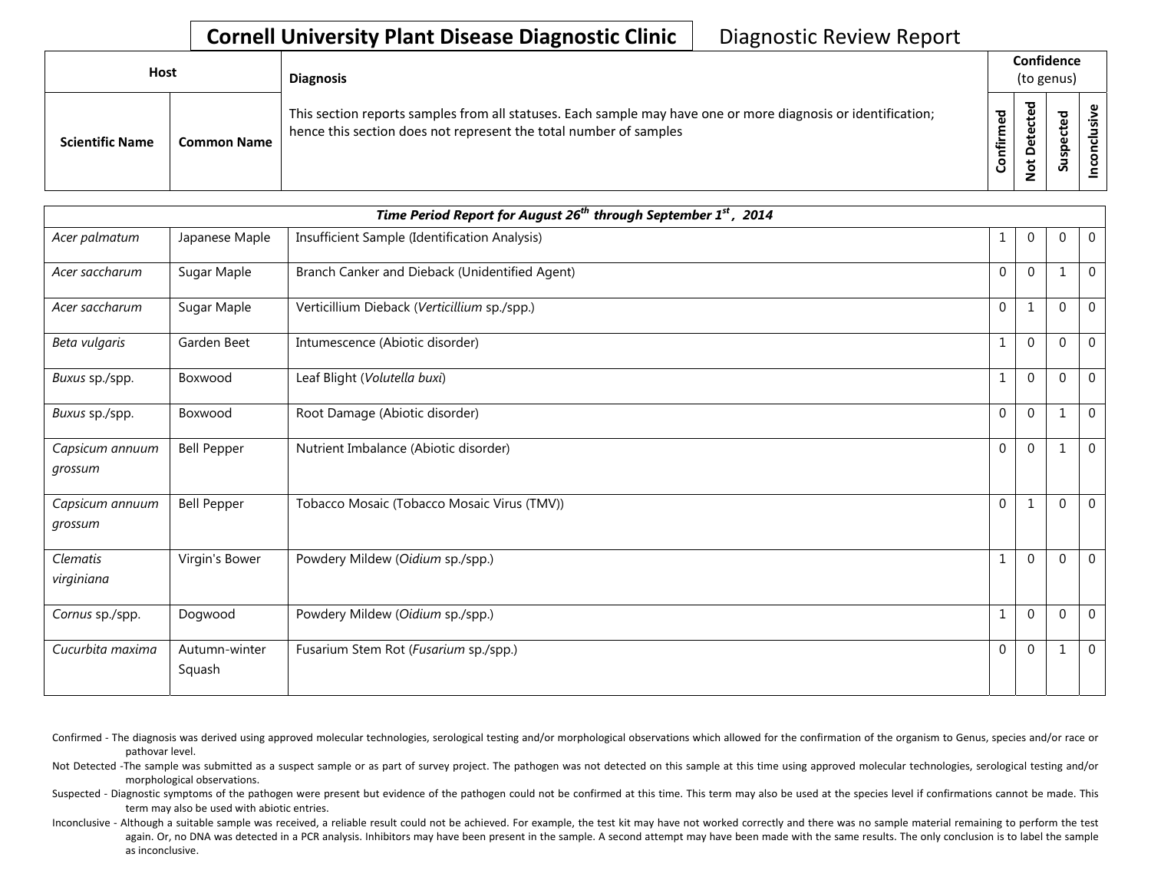| Host |                        |                    | <b>Diagnosis</b>                                                                                                                                                                   |                |                                            | Confidence<br>(to genus) |  |
|------|------------------------|--------------------|------------------------------------------------------------------------------------------------------------------------------------------------------------------------------------|----------------|--------------------------------------------|--------------------------|--|
|      | <b>Scientific Name</b> | <b>Common Name</b> | This section reports samples from all statuses. Each sample may have one or more diagnosis or identification;<br>hence this section does not represent the total number of samples | ್ಠಾ<br>Ě<br>۴ŗ | ▿<br>Φ<br>Φ<br>ىد<br>ω<br>۵<br>ى<br>۰<br>– | ਠ<br>Φ<br>ن<br>Φ<br>Susp |  |

| Time Period Report for August 26 <sup>th</sup> through September 1 <sup>st</sup> , 2014 |                         |                                                |              |              |          |              |  |  |
|-----------------------------------------------------------------------------------------|-------------------------|------------------------------------------------|--------------|--------------|----------|--------------|--|--|
| Acer palmatum                                                                           | Japanese Maple          | Insufficient Sample (Identification Analysis)  | $\mathbf 1$  | $\mathbf 0$  | $\Omega$ | $\mathbf 0$  |  |  |
| Acer saccharum                                                                          | Sugar Maple             | Branch Canker and Dieback (Unidentified Agent) | $\mathbf 0$  | $\mathbf{0}$ |          | $\mathbf 0$  |  |  |
| Acer saccharum                                                                          | Sugar Maple             | Verticillium Dieback (Verticillium sp./spp.)   | $\mathbf 0$  | $\mathbf{1}$ | $\Omega$ | $\mathbf 0$  |  |  |
| Beta vulgaris                                                                           | Garden Beet             | Intumescence (Abiotic disorder)                | $\mathbf{1}$ | $\mathbf 0$  | $\Omega$ | $\mathbf 0$  |  |  |
| Buxus sp./spp.                                                                          | Boxwood                 | Leaf Blight (Volutella buxi)                   | $1\,$        | $\mathbf 0$  | $\Omega$ | $\mathbf{0}$ |  |  |
| Buxus sp./spp.                                                                          | Boxwood                 | Root Damage (Abiotic disorder)                 | 0            | $\mathbf 0$  | 1        | $\mathbf 0$  |  |  |
| Capsicum annuum<br>grossum                                                              | <b>Bell Pepper</b>      | Nutrient Imbalance (Abiotic disorder)          | $\mathbf{0}$ | $\Omega$     |          | $\Omega$     |  |  |
| Capsicum annuum<br>grossum                                                              | <b>Bell Pepper</b>      | Tobacco Mosaic (Tobacco Mosaic Virus (TMV))    | $\mathbf 0$  | $\mathbf{1}$ | $\Omega$ | $\mathbf 0$  |  |  |
| <b>Clematis</b><br>virginiana                                                           | Virgin's Bower          | Powdery Mildew (Oidium sp./spp.)               | $1\,$        | $\mathbf 0$  | $\Omega$ | $\mathbf{0}$ |  |  |
| Cornus sp./spp.                                                                         | Dogwood                 | Powdery Mildew (Oidium sp./spp.)               | $\mathbf{1}$ | $\Omega$     | $\Omega$ | $\mathbf{0}$ |  |  |
| Cucurbita maxima                                                                        | Autumn-winter<br>Squash | Fusarium Stem Rot (Fusarium sp./spp.)          | $\mathbf 0$  | $\mathbf 0$  | 1        | $\mathbf 0$  |  |  |

Confirmed - The diagnosis was derived using approved molecular technologies, serological testing and/or morphological observations which allowed for the confirmation of the organism to Genus, species and/or race or pathovar level.

Not Detected -The sample was submitted as a suspect sample or as part of survey project. The pathogen was not detected on this sample at this time using approved molecular technologies, serological testing and/or morphological observations.

Suspected - Diagnostic symptoms of the pathogen were present but evidence of the pathogen could not be confirmed at this time. This term may also be used at the species level if confirmations cannot be made. This term may also be used with abiotic entries.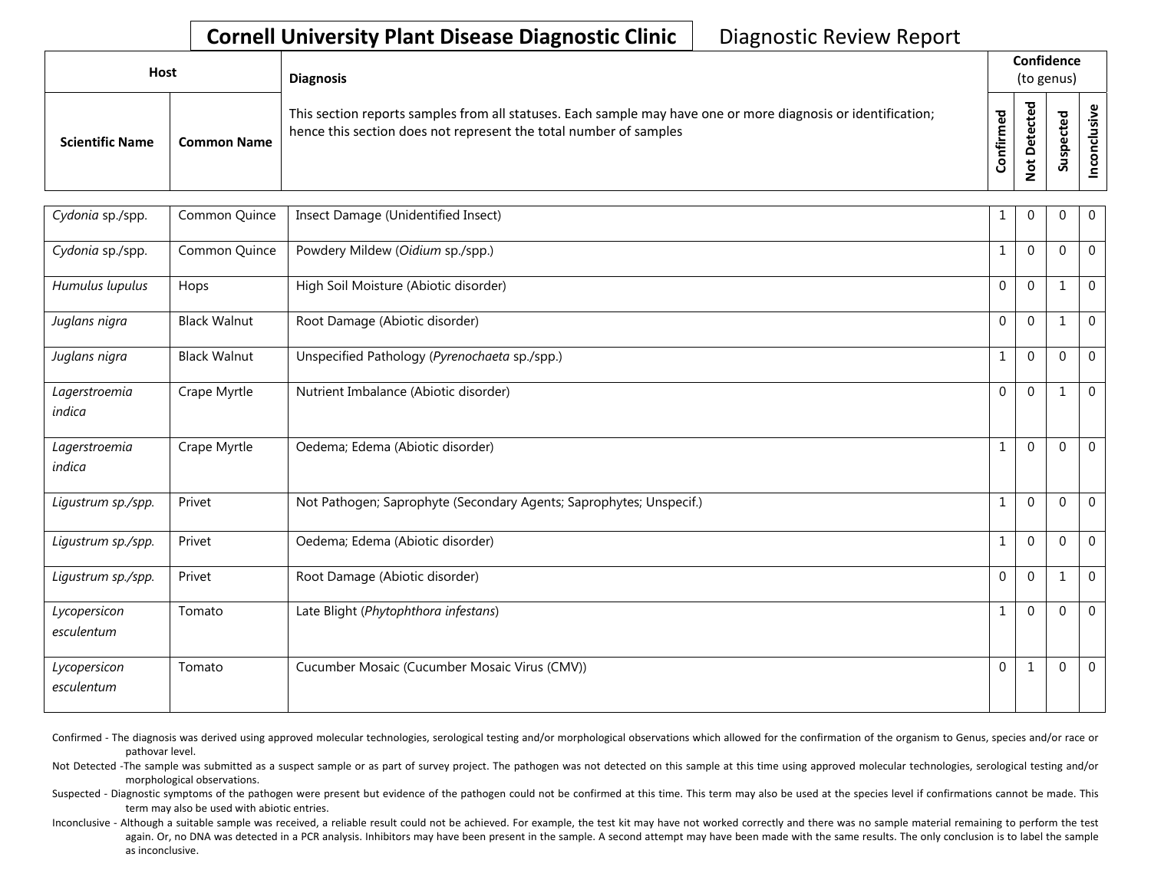| <b>Host</b>            |                    | <b>Diagnosis</b>                                                                                                                                                                   |             | Confidence<br>(to genus)    |        |                   |  |  |
|------------------------|--------------------|------------------------------------------------------------------------------------------------------------------------------------------------------------------------------------|-------------|-----------------------------|--------|-------------------|--|--|
| <b>Scientific Name</b> | <b>Common Name</b> | This section reports samples from all statuses. Each sample may have one or more diagnosis or identification;<br>hence this section does not represent the total number of samples | ಕ<br>╘<br>ğ | ᇃ<br>உ<br>ပ<br>ى<br>$\circ$ | ≂<br>n | ഄ<br>ώ<br>᠊ᠣ<br>Ō |  |  |

| Cydonia sp./spp.           | Common Quince       | Insect Damage (Unidentified Insect)                                 | 1              | $\Omega$     | 0           | $\mathbf 0$  |
|----------------------------|---------------------|---------------------------------------------------------------------|----------------|--------------|-------------|--------------|
| Cydonia sp./spp.           | Common Quince       | Powdery Mildew (Oidium sp./spp.)                                    | $\mathbf{1}$   | $\Omega$     | $\Omega$    | $\mathbf 0$  |
| Humulus lupulus            | Hops                | High Soil Moisture (Abiotic disorder)                               | $\mathbf{0}$   | $\mathbf{0}$ | 1           | $\mathbf{0}$ |
| Juglans nigra              | <b>Black Walnut</b> | Root Damage (Abiotic disorder)                                      | $\mathbf 0$    | $\mathbf{0}$ | 1           | $\mathbf 0$  |
| Juglans nigra              | <b>Black Walnut</b> | Unspecified Pathology (Pyrenochaeta sp./spp.)                       | $\mathbf{1}$   | $\mathbf{0}$ | $\Omega$    | $\mathbf 0$  |
| Lagerstroemia<br>indica    | Crape Myrtle        | Nutrient Imbalance (Abiotic disorder)                               | $\overline{0}$ | $\mathbf 0$  | 1           | $\mathbf 0$  |
| Lagerstroemia<br>indica    | Crape Myrtle        | Oedema; Edema (Abiotic disorder)                                    | $\mathbf{1}$   | $\mathbf{0}$ | $\Omega$    | $\mathbf 0$  |
| Ligustrum sp./spp.         | Privet              | Not Pathogen; Saprophyte (Secondary Agents; Saprophytes; Unspecif.) | $1\,$          | $\mathbf 0$  | $\Omega$    | $\mathbf 0$  |
| Ligustrum sp./spp.         | Privet              | Oedema; Edema (Abiotic disorder)                                    | $\mathbf{1}$   | $\mathbf{0}$ | $\mathbf 0$ | $\mathbf 0$  |
| Ligustrum sp./spp.         | Privet              | Root Damage (Abiotic disorder)                                      | $\mathbf{0}$   | $\Omega$     | 1           | $\mathbf 0$  |
| Lycopersicon<br>esculentum | Tomato              | Late Blight (Phytophthora infestans)                                | $\mathbf{1}$   | $\mathbf{0}$ | $\Omega$    | $\mathbf{0}$ |
| Lycopersicon<br>esculentum | Tomato              | Cucumber Mosaic (Cucumber Mosaic Virus (CMV))                       | $\mathbf 0$    | $\mathbf{1}$ | $\Omega$    | $\mathbf 0$  |

Confirmed - The diagnosis was derived using approved molecular technologies, serological testing and/or morphological observations which allowed for the confirmation of the organism to Genus, species and/or race or pathovar level.

Not Detected -The sample was submitted as a suspect sample or as part of survey project. The pathogen was not detected on this sample at this time using approved molecular technologies, serological testing and/or morphological observations.

Suspected - Diagnostic symptoms of the pathogen were present but evidence of the pathogen could not be confirmed at this time. This term may also be used at the species level if confirmations cannot be made. This term may also be used with abiotic entries.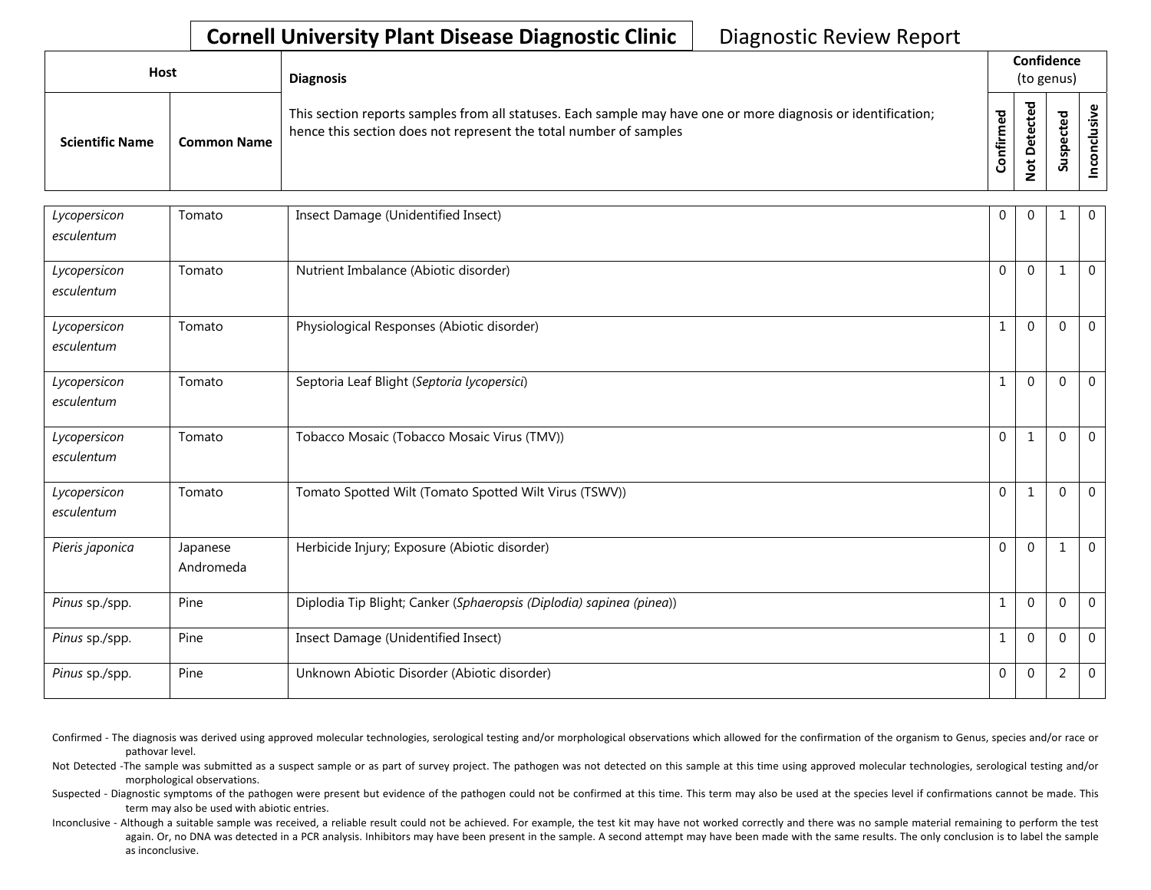| Host                   |                    | <b>Diagnosis</b>                                                                                                                                                                   |                            |             | Confidence<br>(to genus) |   |
|------------------------|--------------------|------------------------------------------------------------------------------------------------------------------------------------------------------------------------------------|----------------------------|-------------|--------------------------|---|
| <b>Scientific Name</b> | <b>Common Name</b> | This section reports samples from all statuses. Each sample may have one or more diagnosis or identification;<br>hence this section does not represent the total number of samples | $\mathbf{e}$<br>Ě<br>onfir | ठ<br>پ<br>S | ਠ<br>௨<br>ູລ             | ں |

| Lycopersicon<br>esculentum | Tomato                | Insect Damage (Unidentified Insect)                                  | 0            | $\Omega$    | $\mathbf{1}$   | $\mathbf 0$    |
|----------------------------|-----------------------|----------------------------------------------------------------------|--------------|-------------|----------------|----------------|
| Lycopersicon<br>esculentum | Tomato                | Nutrient Imbalance (Abiotic disorder)                                | $\Omega$     | $\Omega$    | -1             | $\overline{0}$ |
| Lycopersicon<br>esculentum | Tomato                | Physiological Responses (Abiotic disorder)                           | $\mathbf{1}$ | $\Omega$    | $\mathbf{0}$   | $\overline{0}$ |
| Lycopersicon<br>esculentum | Tomato                | Septoria Leaf Blight (Septoria lycopersici)                          | 1            | $\Omega$    | $\Omega$       | $\mathbf 0$    |
| Lycopersicon<br>esculentum | Tomato                | Tobacco Mosaic (Tobacco Mosaic Virus (TMV))                          | $\Omega$     |             | $\Omega$       | $\overline{0}$ |
| Lycopersicon<br>esculentum | Tomato                | Tomato Spotted Wilt (Tomato Spotted Wilt Virus (TSWV))               | 0            |             | $\mathbf{0}$   | $\overline{0}$ |
| Pieris japonica            | Japanese<br>Andromeda | Herbicide Injury; Exposure (Abiotic disorder)                        | $\Omega$     | $\Omega$    | $\mathbf{1}$   | $\mathbf 0$    |
| Pinus sp./spp.             | Pine                  | Diplodia Tip Blight; Canker (Sphaeropsis (Diplodia) sapinea (pinea)) | $\mathbf{1}$ | $\Omega$    | $\Omega$       | $\overline{0}$ |
| Pinus sp./spp.             | Pine                  | Insect Damage (Unidentified Insect)                                  | 1            | $\Omega$    | $\mathbf 0$    | $\overline{0}$ |
| Pinus sp./spp.             | Pine                  | Unknown Abiotic Disorder (Abiotic disorder)                          | 0            | $\mathbf 0$ | $\overline{2}$ | $\overline{0}$ |

Confirmed - The diagnosis was derived using approved molecular technologies, serological testing and/or morphological observations which allowed for the confirmation of the organism to Genus, species and/or race or pathovar level.

Not Detected -The sample was submitted as a suspect sample or as part of survey project. The pathogen was not detected on this sample at this time using approved molecular technologies, serological testing and/or morphological observations.

Suspected - Diagnostic symptoms of the pathogen were present but evidence of the pathogen could not be confirmed at this time. This term may also be used at the species level if confirmations cannot be made. This term may also be used with abiotic entries.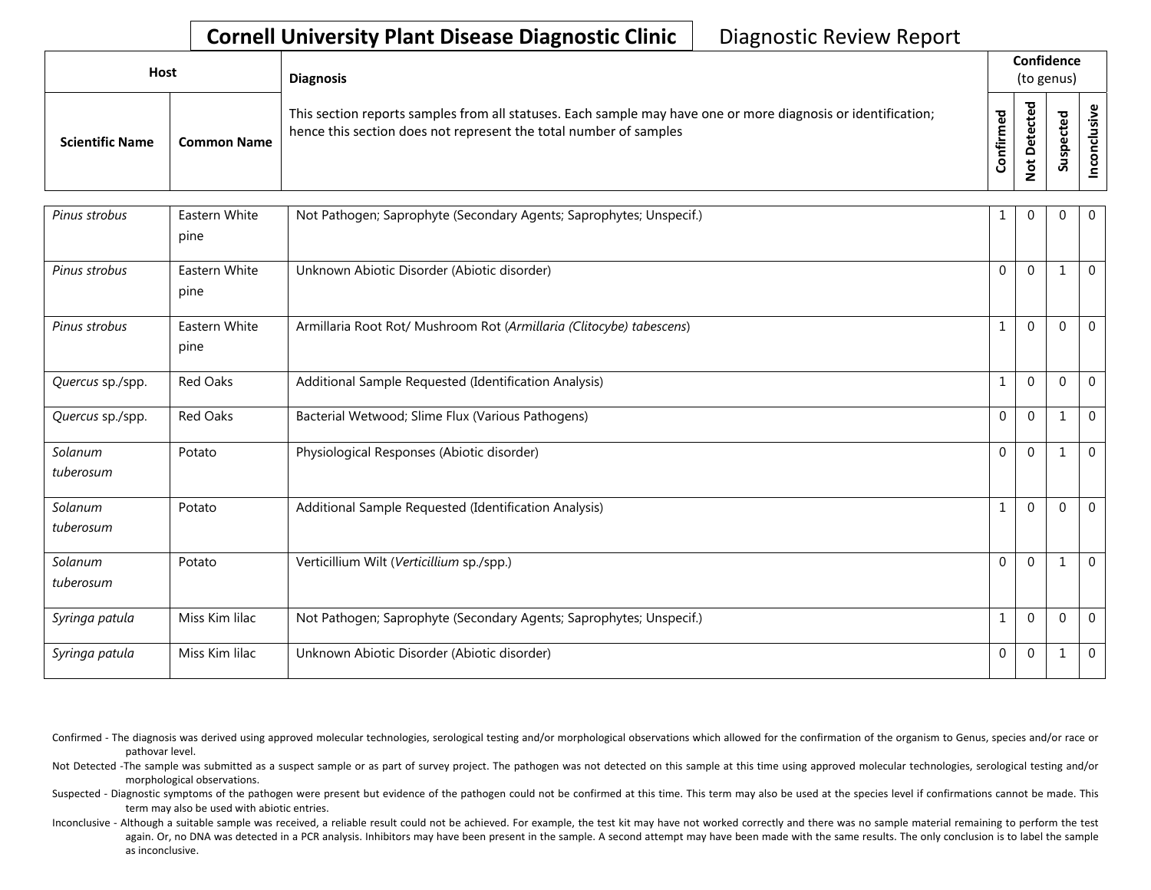| Host                   |                    | <b>Diagnosis</b>                                                                                                                                                                   |                     |                                      | Confidence<br>(to genus)  |   |
|------------------------|--------------------|------------------------------------------------------------------------------------------------------------------------------------------------------------------------------------|---------------------|--------------------------------------|---------------------------|---|
| <b>Scientific Name</b> | <b>Common Name</b> | This section reports samples from all statuses. Each sample may have one or more diagnosis or identification;<br>hence this section does not represent the total number of samples | ್ಹಾ<br>Ē<br>튈<br>රි | ᅙ<br>ق<br>ں<br>ይ<br>۵<br>۵<br>t<br>؋ | ᠊ᢦ<br>உ<br>ن<br>ω<br>Susp | ω |

| Pinus strobus        | Eastern White<br>pine | Not Pathogen; Saprophyte (Secondary Agents; Saprophytes; Unspecif.)  |              | $\Omega$     | $\Omega$ | $\mathbf 0$    |
|----------------------|-----------------------|----------------------------------------------------------------------|--------------|--------------|----------|----------------|
| Pinus strobus        | Eastern White<br>pine | Unknown Abiotic Disorder (Abiotic disorder)                          | $\Omega$     | $\Omega$     | 1        | $\overline{0}$ |
| Pinus strobus        | Eastern White<br>pine | Armillaria Root Rot/ Mushroom Rot (Armillaria (Clitocybe) tabescens) | $\mathbf{1}$ | $\Omega$     | $\Omega$ | $\mathbf{0}$   |
| Quercus sp./spp.     | Red Oaks              | Additional Sample Requested (Identification Analysis)                | $\mathbf{1}$ | $\Omega$     | $\Omega$ | $\mathbf{0}$   |
| Quercus sp./spp.     | Red Oaks              | Bacterial Wetwood; Slime Flux (Various Pathogens)                    | $\mathbf 0$  | $\Omega$     | 1        | $\overline{0}$ |
| Solanum<br>tuberosum | Potato                | Physiological Responses (Abiotic disorder)                           | $\Omega$     | $\Omega$     |          | $\Omega$       |
| Solanum<br>tuberosum | Potato                | Additional Sample Requested (Identification Analysis)                | $\mathbf{1}$ | $\mathbf{0}$ | $\Omega$ | $\mathbf{0}$   |
| Solanum<br>tuberosum | Potato                | Verticillium Wilt (Verticillium sp./spp.)                            | $\Omega$     | $\Omega$     | 1        | $\mathbf{0}$   |
| Syringa patula       | Miss Kim lilac        | Not Pathogen; Saprophyte (Secondary Agents; Saprophytes; Unspecif.)  | $\mathbf{1}$ | $\Omega$     | $\Omega$ | $\mathbf{0}$   |
| Syringa patula       | Miss Kim lilac        | Unknown Abiotic Disorder (Abiotic disorder)                          | $\Omega$     | $\Omega$     |          | $\mathbf 0$    |

Confirmed - The diagnosis was derived using approved molecular technologies, serological testing and/or morphological observations which allowed for the confirmation of the organism to Genus, species and/or race or pathovar level.

Not Detected -The sample was submitted as a suspect sample or as part of survey project. The pathogen was not detected on this sample at this time using approved molecular technologies, serological testing and/or morphological observations.

Suspected - Diagnostic symptoms of the pathogen were present but evidence of the pathogen could not be confirmed at this time. This term may also be used at the species level if confirmations cannot be made. This term may also be used with abiotic entries.